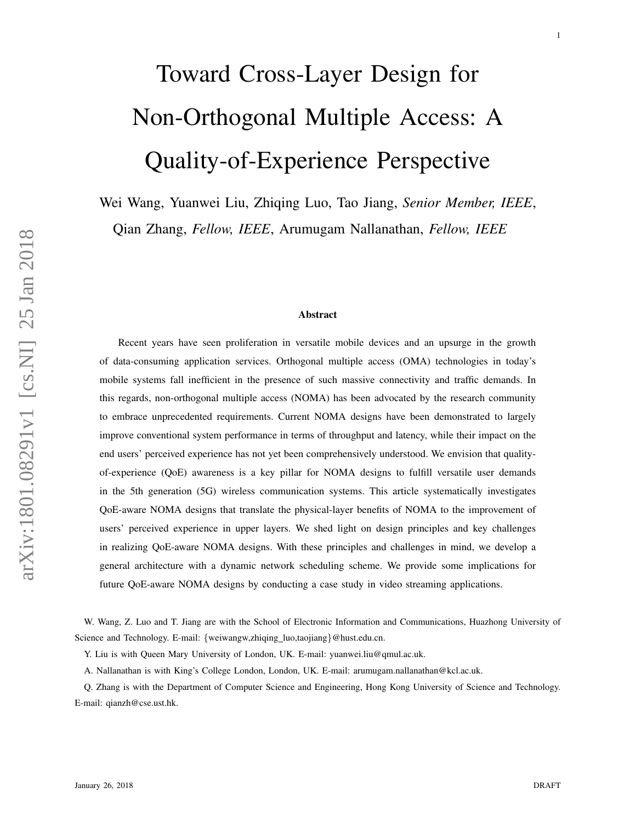# Toward Cross-Layer Design for Non-Orthogonal Multiple Access: A Quality-of-Experience Perspective

Wei Wang, Yuanwei Liu, Zhiqing Luo, Tao Jiang, *Senior Member, IEEE*,

Qian Zhang, *Fellow, IEEE*, Arumugam Nallanathan, *Fellow, IEEE*

#### Abstract

Recent years have seen proliferation in versatile mobile devices and an upsurge in the growth of data-consuming application services. Orthogonal multiple access (OMA) technologies in today's mobile systems fall inefficient in the presence of such massive connectivity and traffic demands. In this regards, non-orthogonal multiple access (NOMA) has been advocated by the research community to embrace unprecedented requirements. Current NOMA designs have been demonstrated to largely improve conventional system performance in terms of throughput and latency, while their impact on the end users' perceived experience has not yet been comprehensively understood. We envision that qualityof-experience (QoE) awareness is a key pillar for NOMA designs to fulfill versatile user demands in the 5th generation (5G) wireless communication systems. This article systematically investigates QoE-aware NOMA designs that translate the physical-layer benefits of NOMA to the improvement of users' perceived experience in upper layers. We shed light on design principles and key challenges in realizing QoE-aware NOMA designs. With these principles and challenges in mind, we develop a general architecture with a dynamic network scheduling scheme. We provide some implications for future QoE-aware NOMA designs by conducting a case study in video streaming applications.

W. Wang, Z. Luo and T. Jiang are with the School of Electronic Information and Communications, Huazhong University of Science and Technology. E-mail: {weiwangw,zhiqing\_luo,taojiang}@hust.edu.cn.

Y. Liu is with Queen Mary University of London, UK. E-mail: yuanwei.liu@qmul.ac.uk.

A. Nallanathan is with King's College London, London, UK. E-mail: arumugam.nallanathan@kcl.ac.uk.

Q. Zhang is with the Department of Computer Science and Engineering, Hong Kong University of Science and Technology. E-mail: qianzh@cse.ust.hk.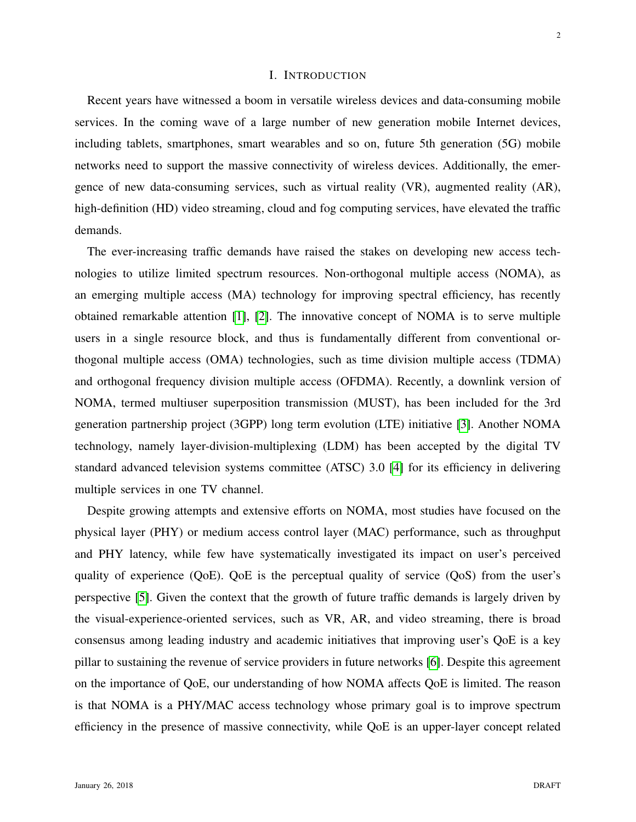#### I. INTRODUCTION

Recent years have witnessed a boom in versatile wireless devices and data-consuming mobile services. In the coming wave of a large number of new generation mobile Internet devices, including tablets, smartphones, smart wearables and so on, future 5th generation (5G) mobile networks need to support the massive connectivity of wireless devices. Additionally, the emergence of new data-consuming services, such as virtual reality (VR), augmented reality (AR), high-definition (HD) video streaming, cloud and fog computing services, have elevated the traffic demands.

The ever-increasing traffic demands have raised the stakes on developing new access technologies to utilize limited spectrum resources. Non-orthogonal multiple access (NOMA), as an emerging multiple access (MA) technology for improving spectral efficiency, has recently obtained remarkable attention [\[1\]](#page-14-0), [\[2\]](#page-14-1). The innovative concept of NOMA is to serve multiple users in a single resource block, and thus is fundamentally different from conventional orthogonal multiple access (OMA) technologies, such as time division multiple access (TDMA) and orthogonal frequency division multiple access (OFDMA). Recently, a downlink version of NOMA, termed multiuser superposition transmission (MUST), has been included for the 3rd generation partnership project (3GPP) long term evolution (LTE) initiative [\[3\]](#page-14-2). Another NOMA technology, namely layer-division-multiplexing (LDM) has been accepted by the digital TV standard advanced television systems committee (ATSC) 3.0 [\[4\]](#page-14-3) for its efficiency in delivering multiple services in one TV channel.

Despite growing attempts and extensive efforts on NOMA, most studies have focused on the physical layer (PHY) or medium access control layer (MAC) performance, such as throughput and PHY latency, while few have systematically investigated its impact on user's perceived quality of experience (QoE). QoE is the perceptual quality of service (QoS) from the user's perspective [\[5\]](#page-14-4). Given the context that the growth of future traffic demands is largely driven by the visual-experience-oriented services, such as VR, AR, and video streaming, there is broad consensus among leading industry and academic initiatives that improving user's QoE is a key pillar to sustaining the revenue of service providers in future networks [\[6\]](#page-14-5). Despite this agreement on the importance of QoE, our understanding of how NOMA affects QoE is limited. The reason is that NOMA is a PHY/MAC access technology whose primary goal is to improve spectrum efficiency in the presence of massive connectivity, while QoE is an upper-layer concept related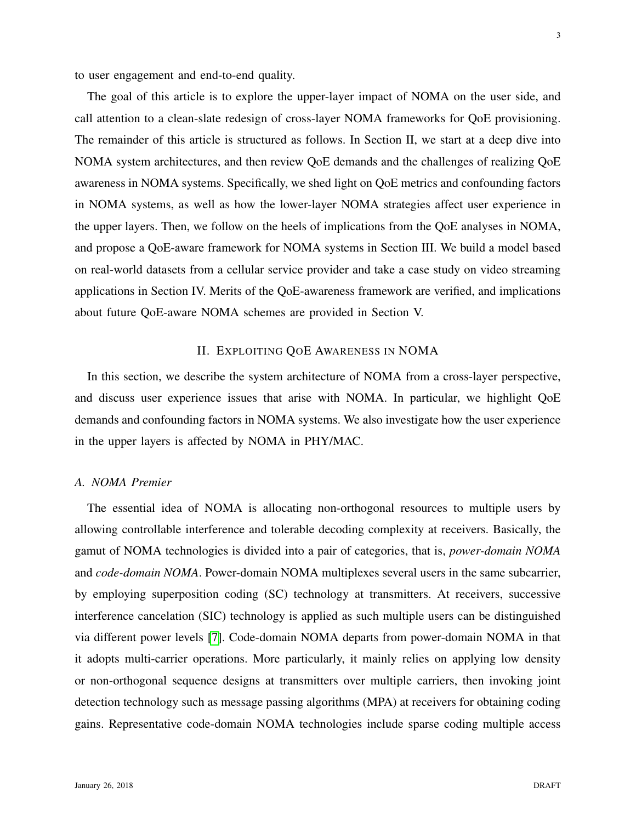to user engagement and end-to-end quality.

The goal of this article is to explore the upper-layer impact of NOMA on the user side, and call attention to a clean-slate redesign of cross-layer NOMA frameworks for QoE provisioning. The remainder of this article is structured as follows. In Section II, we start at a deep dive into NOMA system architectures, and then review QoE demands and the challenges of realizing QoE awareness in NOMA systems. Specifically, we shed light on QoE metrics and confounding factors in NOMA systems, as well as how the lower-layer NOMA strategies affect user experience in the upper layers. Then, we follow on the heels of implications from the QoE analyses in NOMA, and propose a QoE-aware framework for NOMA systems in Section III. We build a model based on real-world datasets from a cellular service provider and take a case study on video streaming applications in Section IV. Merits of the QoE-awareness framework are verified, and implications about future QoE-aware NOMA schemes are provided in Section V.

#### II. EXPLOITING QOE AWARENESS IN NOMA

In this section, we describe the system architecture of NOMA from a cross-layer perspective, and discuss user experience issues that arise with NOMA. In particular, we highlight QoE demands and confounding factors in NOMA systems. We also investigate how the user experience in the upper layers is affected by NOMA in PHY/MAC.

#### *A. NOMA Premier*

The essential idea of NOMA is allocating non-orthogonal resources to multiple users by allowing controllable interference and tolerable decoding complexity at receivers. Basically, the gamut of NOMA technologies is divided into a pair of categories, that is, *power-domain NOMA* and *code-domain NOMA*. Power-domain NOMA multiplexes several users in the same subcarrier, by employing superposition coding (SC) technology at transmitters. At receivers, successive interference cancelation (SIC) technology is applied as such multiple users can be distinguished via different power levels [\[7\]](#page-14-6). Code-domain NOMA departs from power-domain NOMA in that it adopts multi-carrier operations. More particularly, it mainly relies on applying low density or non-orthogonal sequence designs at transmitters over multiple carriers, then invoking joint detection technology such as message passing algorithms (MPA) at receivers for obtaining coding gains. Representative code-domain NOMA technologies include sparse coding multiple access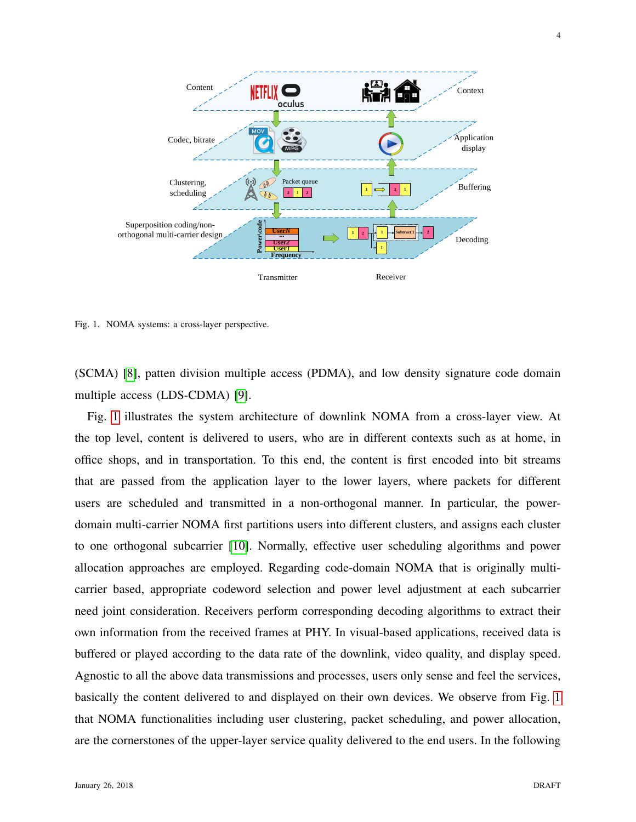

<span id="page-3-0"></span>Fig. 1. NOMA systems: a cross-layer perspective.

(SCMA) [\[8\]](#page-14-7), patten division multiple access (PDMA), and low density signature code domain multiple access (LDS-CDMA) [\[9\]](#page-14-8).

Fig. [1](#page-3-0) illustrates the system architecture of downlink NOMA from a cross-layer view. At the top level, content is delivered to users, who are in different contexts such as at home, in office shops, and in transportation. To this end, the content is first encoded into bit streams that are passed from the application layer to the lower layers, where packets for different users are scheduled and transmitted in a non-orthogonal manner. In particular, the powerdomain multi-carrier NOMA first partitions users into different clusters, and assigns each cluster to one orthogonal subcarrier [\[10\]](#page-14-9). Normally, effective user scheduling algorithms and power allocation approaches are employed. Regarding code-domain NOMA that is originally multicarrier based, appropriate codeword selection and power level adjustment at each subcarrier need joint consideration. Receivers perform corresponding decoding algorithms to extract their own information from the received frames at PHY. In visual-based applications, received data is buffered or played according to the data rate of the downlink, video quality, and display speed. Agnostic to all the above data transmissions and processes, users only sense and feel the services, basically the content delivered to and displayed on their own devices. We observe from Fig. [1](#page-3-0) that NOMA functionalities including user clustering, packet scheduling, and power allocation, are the cornerstones of the upper-layer service quality delivered to the end users. In the following

4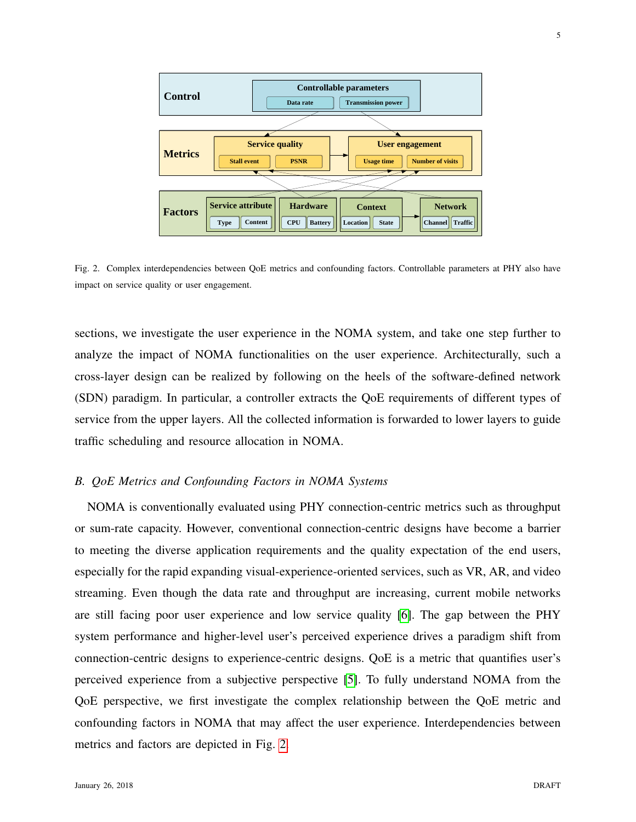

<span id="page-4-0"></span>Fig. 2. Complex interdependencies between QoE metrics and confounding factors. Controllable parameters at PHY also have impact on service quality or user engagement.

sections, we investigate the user experience in the NOMA system, and take one step further to analyze the impact of NOMA functionalities on the user experience. Architecturally, such a cross-layer design can be realized by following on the heels of the software-defined network (SDN) paradigm. In particular, a controller extracts the QoE requirements of different types of service from the upper layers. All the collected information is forwarded to lower layers to guide traffic scheduling and resource allocation in NOMA.

#### *B. QoE Metrics and Confounding Factors in NOMA Systems*

NOMA is conventionally evaluated using PHY connection-centric metrics such as throughput or sum-rate capacity. However, conventional connection-centric designs have become a barrier to meeting the diverse application requirements and the quality expectation of the end users, especially for the rapid expanding visual-experience-oriented services, such as VR, AR, and video streaming. Even though the data rate and throughput are increasing, current mobile networks are still facing poor user experience and low service quality [\[6\]](#page-14-5). The gap between the PHY system performance and higher-level user's perceived experience drives a paradigm shift from connection-centric designs to experience-centric designs. QoE is a metric that quantifies user's perceived experience from a subjective perspective [\[5\]](#page-14-4). To fully understand NOMA from the QoE perspective, we first investigate the complex relationship between the QoE metric and confounding factors in NOMA that may affect the user experience. Interdependencies between metrics and factors are depicted in Fig. [2.](#page-4-0)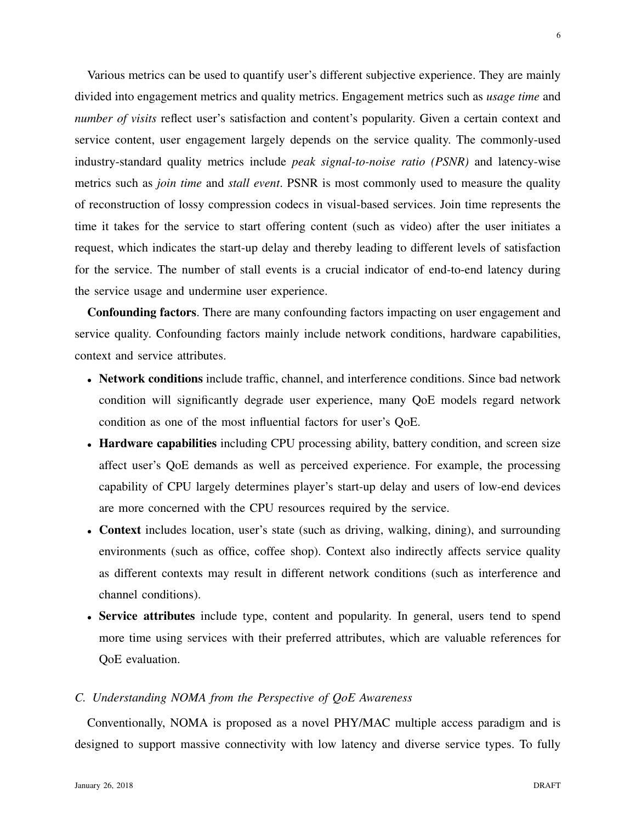Various metrics can be used to quantify user's different subjective experience. They are mainly divided into engagement metrics and quality metrics. Engagement metrics such as *usage time* and *number of visits* reflect user's satisfaction and content's popularity. Given a certain context and service content, user engagement largely depends on the service quality. The commonly-used industry-standard quality metrics include *peak signal-to-noise ratio (PSNR)* and latency-wise metrics such as *join time* and *stall event*. PSNR is most commonly used to measure the quality of reconstruction of lossy compression codecs in visual-based services. Join time represents the time it takes for the service to start offering content (such as video) after the user initiates a request, which indicates the start-up delay and thereby leading to different levels of satisfaction for the service. The number of stall events is a crucial indicator of end-to-end latency during the service usage and undermine user experience.

Confounding factors. There are many confounding factors impacting on user engagement and service quality. Confounding factors mainly include network conditions, hardware capabilities, context and service attributes.

- Network conditions include traffic, channel, and interference conditions. Since bad network condition will significantly degrade user experience, many QoE models regard network condition as one of the most influential factors for user's QoE.
- Hardware capabilities including CPU processing ability, battery condition, and screen size affect user's QoE demands as well as perceived experience. For example, the processing capability of CPU largely determines player's start-up delay and users of low-end devices are more concerned with the CPU resources required by the service.
- Context includes location, user's state (such as driving, walking, dining), and surrounding environments (such as office, coffee shop). Context also indirectly affects service quality as different contexts may result in different network conditions (such as interference and channel conditions).
- Service attributes include type, content and popularity. In general, users tend to spend more time using services with their preferred attributes, which are valuable references for QoE evaluation.

#### *C. Understanding NOMA from the Perspective of QoE Awareness*

Conventionally, NOMA is proposed as a novel PHY/MAC multiple access paradigm and is designed to support massive connectivity with low latency and diverse service types. To fully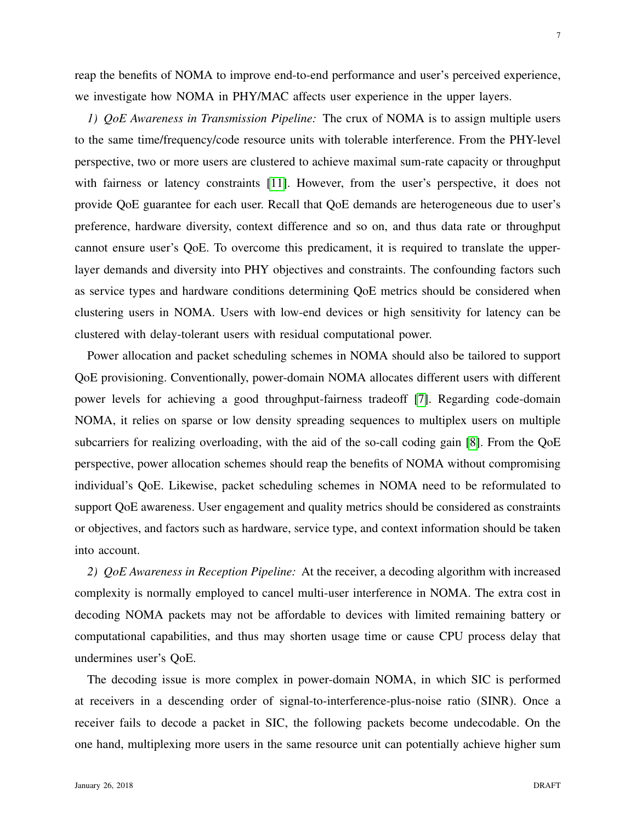reap the benefits of NOMA to improve end-to-end performance and user's perceived experience, we investigate how NOMA in PHY/MAC affects user experience in the upper layers.

*1) QoE Awareness in Transmission Pipeline:* The crux of NOMA is to assign multiple users to the same time/frequency/code resource units with tolerable interference. From the PHY-level perspective, two or more users are clustered to achieve maximal sum-rate capacity or throughput with fairness or latency constraints [\[11\]](#page-14-10). However, from the user's perspective, it does not provide QoE guarantee for each user. Recall that QoE demands are heterogeneous due to user's preference, hardware diversity, context difference and so on, and thus data rate or throughput cannot ensure user's QoE. To overcome this predicament, it is required to translate the upperlayer demands and diversity into PHY objectives and constraints. The confounding factors such as service types and hardware conditions determining QoE metrics should be considered when clustering users in NOMA. Users with low-end devices or high sensitivity for latency can be clustered with delay-tolerant users with residual computational power.

Power allocation and packet scheduling schemes in NOMA should also be tailored to support QoE provisioning. Conventionally, power-domain NOMA allocates different users with different power levels for achieving a good throughput-fairness tradeoff [\[7\]](#page-14-6). Regarding code-domain NOMA, it relies on sparse or low density spreading sequences to multiplex users on multiple subcarriers for realizing overloading, with the aid of the so-call coding gain [\[8\]](#page-14-7). From the QoE perspective, power allocation schemes should reap the benefits of NOMA without compromising individual's QoE. Likewise, packet scheduling schemes in NOMA need to be reformulated to support QoE awareness. User engagement and quality metrics should be considered as constraints or objectives, and factors such as hardware, service type, and context information should be taken into account.

*2) QoE Awareness in Reception Pipeline:* At the receiver, a decoding algorithm with increased complexity is normally employed to cancel multi-user interference in NOMA. The extra cost in decoding NOMA packets may not be affordable to devices with limited remaining battery or computational capabilities, and thus may shorten usage time or cause CPU process delay that undermines user's QoE.

The decoding issue is more complex in power-domain NOMA, in which SIC is performed at receivers in a descending order of signal-to-interference-plus-noise ratio (SINR). Once a receiver fails to decode a packet in SIC, the following packets become undecodable. On the one hand, multiplexing more users in the same resource unit can potentially achieve higher sum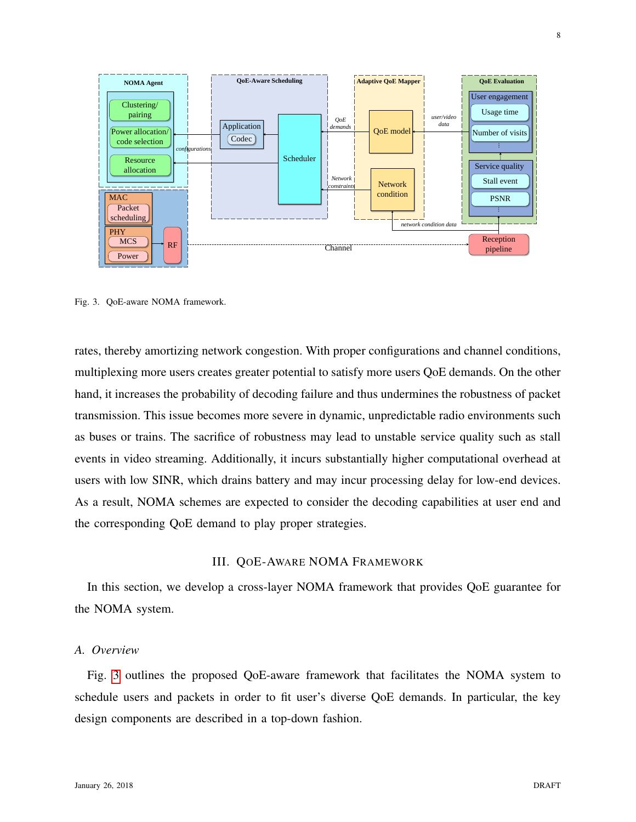

<span id="page-7-0"></span>Fig. 3. QoE-aware NOMA framework.

rates, thereby amortizing network congestion. With proper configurations and channel conditions, multiplexing more users creates greater potential to satisfy more users QoE demands. On the other hand, it increases the probability of decoding failure and thus undermines the robustness of packet transmission. This issue becomes more severe in dynamic, unpredictable radio environments such as buses or trains. The sacrifice of robustness may lead to unstable service quality such as stall events in video streaming. Additionally, it incurs substantially higher computational overhead at users with low SINR, which drains battery and may incur processing delay for low-end devices. As a result, NOMA schemes are expected to consider the decoding capabilities at user end and the corresponding QoE demand to play proper strategies.

#### III. QOE-AWARE NOMA FRAMEWORK

In this section, we develop a cross-layer NOMA framework that provides QoE guarantee for the NOMA system.

#### *A. Overview*

Fig. [3](#page-7-0) outlines the proposed QoE-aware framework that facilitates the NOMA system to schedule users and packets in order to fit user's diverse QoE demands. In particular, the key design components are described in a top-down fashion.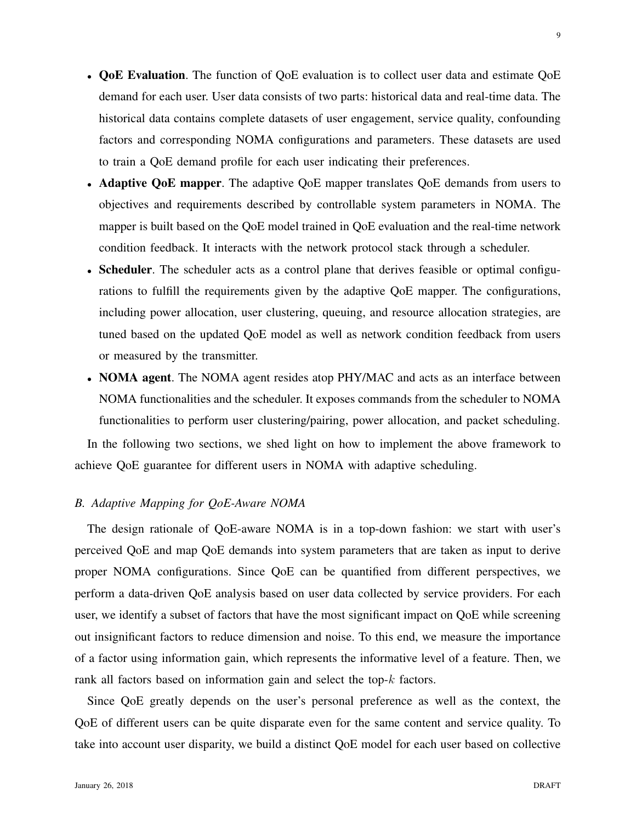- QoE Evaluation. The function of QoE evaluation is to collect user data and estimate QoE demand for each user. User data consists of two parts: historical data and real-time data. The historical data contains complete datasets of user engagement, service quality, confounding factors and corresponding NOMA configurations and parameters. These datasets are used to train a QoE demand profile for each user indicating their preferences.
- Adaptive QoE mapper. The adaptive QoE mapper translates QoE demands from users to objectives and requirements described by controllable system parameters in NOMA. The mapper is built based on the QoE model trained in QoE evaluation and the real-time network condition feedback. It interacts with the network protocol stack through a scheduler.
- Scheduler. The scheduler acts as a control plane that derives feasible or optimal configurations to fulfill the requirements given by the adaptive QoE mapper. The configurations, including power allocation, user clustering, queuing, and resource allocation strategies, are tuned based on the updated QoE model as well as network condition feedback from users or measured by the transmitter.
- **NOMA agent**. The NOMA agent resides atop PHY/MAC and acts as an interface between NOMA functionalities and the scheduler. It exposes commands from the scheduler to NOMA functionalities to perform user clustering/pairing, power allocation, and packet scheduling.

In the following two sections, we shed light on how to implement the above framework to achieve QoE guarantee for different users in NOMA with adaptive scheduling.

#### *B. Adaptive Mapping for QoE-Aware NOMA*

The design rationale of QoE-aware NOMA is in a top-down fashion: we start with user's perceived QoE and map QoE demands into system parameters that are taken as input to derive proper NOMA configurations. Since QoE can be quantified from different perspectives, we perform a data-driven QoE analysis based on user data collected by service providers. For each user, we identify a subset of factors that have the most significant impact on QoE while screening out insignificant factors to reduce dimension and noise. To this end, we measure the importance of a factor using information gain, which represents the informative level of a feature. Then, we rank all factors based on information gain and select the top-k factors.

Since QoE greatly depends on the user's personal preference as well as the context, the QoE of different users can be quite disparate even for the same content and service quality. To take into account user disparity, we build a distinct QoE model for each user based on collective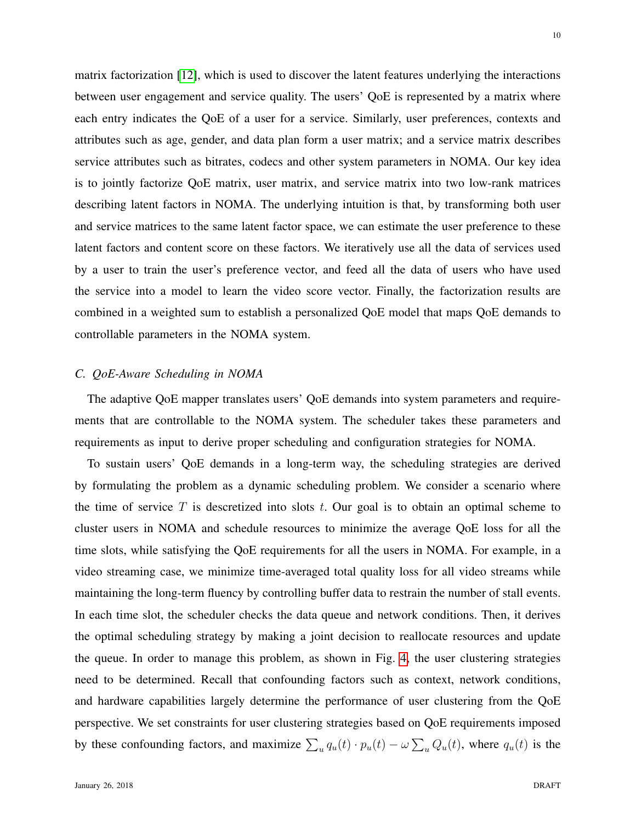matrix factorization [\[12\]](#page-14-11), which is used to discover the latent features underlying the interactions between user engagement and service quality. The users' QoE is represented by a matrix where each entry indicates the QoE of a user for a service. Similarly, user preferences, contexts and attributes such as age, gender, and data plan form a user matrix; and a service matrix describes service attributes such as bitrates, codecs and other system parameters in NOMA. Our key idea

is to jointly factorize QoE matrix, user matrix, and service matrix into two low-rank matrices describing latent factors in NOMA. The underlying intuition is that, by transforming both user and service matrices to the same latent factor space, we can estimate the user preference to these latent factors and content score on these factors. We iteratively use all the data of services used by a user to train the user's preference vector, and feed all the data of users who have used the service into a model to learn the video score vector. Finally, the factorization results are combined in a weighted sum to establish a personalized QoE model that maps QoE demands to controllable parameters in the NOMA system.

#### *C. QoE-Aware Scheduling in NOMA*

The adaptive QoE mapper translates users' QoE demands into system parameters and requirements that are controllable to the NOMA system. The scheduler takes these parameters and requirements as input to derive proper scheduling and configuration strategies for NOMA.

To sustain users' QoE demands in a long-term way, the scheduling strategies are derived by formulating the problem as a dynamic scheduling problem. We consider a scenario where the time of service T is descretized into slots t. Our goal is to obtain an optimal scheme to cluster users in NOMA and schedule resources to minimize the average QoE loss for all the time slots, while satisfying the QoE requirements for all the users in NOMA. For example, in a video streaming case, we minimize time-averaged total quality loss for all video streams while maintaining the long-term fluency by controlling buffer data to restrain the number of stall events. In each time slot, the scheduler checks the data queue and network conditions. Then, it derives the optimal scheduling strategy by making a joint decision to reallocate resources and update the queue. In order to manage this problem, as shown in Fig. [4,](#page-10-0) the user clustering strategies need to be determined. Recall that confounding factors such as context, network conditions, and hardware capabilities largely determine the performance of user clustering from the QoE perspective. We set constraints for user clustering strategies based on QoE requirements imposed by these confounding factors, and maximize  $\sum_{u} q_u(t) \cdot p_u(t) - \omega \sum_{u} Q_u(t)$ , where  $q_u(t)$  is the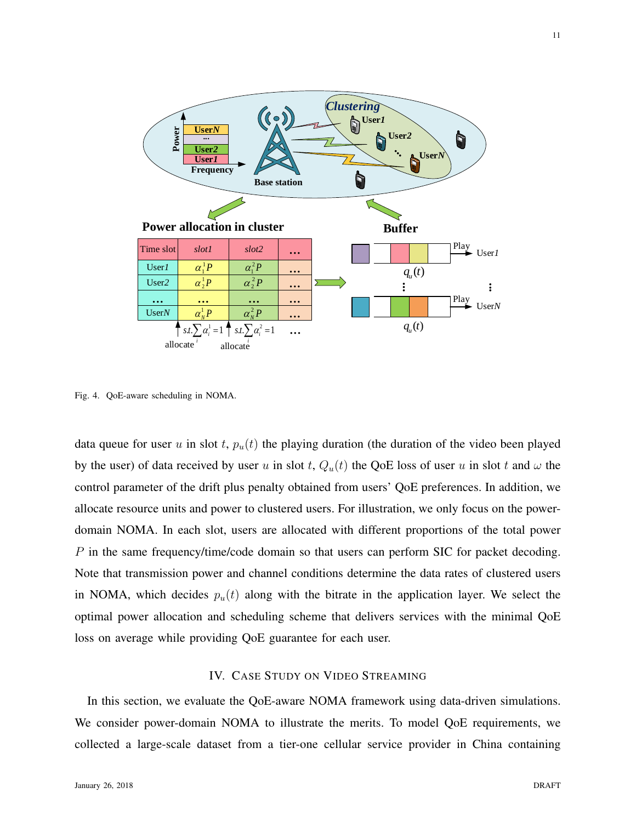

<span id="page-10-0"></span>Fig. 4. QoE-aware scheduling in NOMA.

data queue for user u in slot t,  $p_u(t)$  the playing duration (the duration of the video been played by the user) of data received by user u in slot t,  $Q_u(t)$  the QoE loss of user u in slot t and  $\omega$  the control parameter of the drift plus penalty obtained from users' QoE preferences. In addition, we allocate resource units and power to clustered users. For illustration, we only focus on the powerdomain NOMA. In each slot, users are allocated with different proportions of the total power P in the same frequency/time/code domain so that users can perform SIC for packet decoding. Note that transmission power and channel conditions determine the data rates of clustered users in NOMA, which decides  $p_u(t)$  along with the bitrate in the application layer. We select the optimal power allocation and scheduling scheme that delivers services with the minimal QoE loss on average while providing QoE guarantee for each user.

#### IV. CASE STUDY ON VIDEO STREAMING

In this section, we evaluate the QoE-aware NOMA framework using data-driven simulations. We consider power-domain NOMA to illustrate the merits. To model QoE requirements, we collected a large-scale dataset from a tier-one cellular service provider in China containing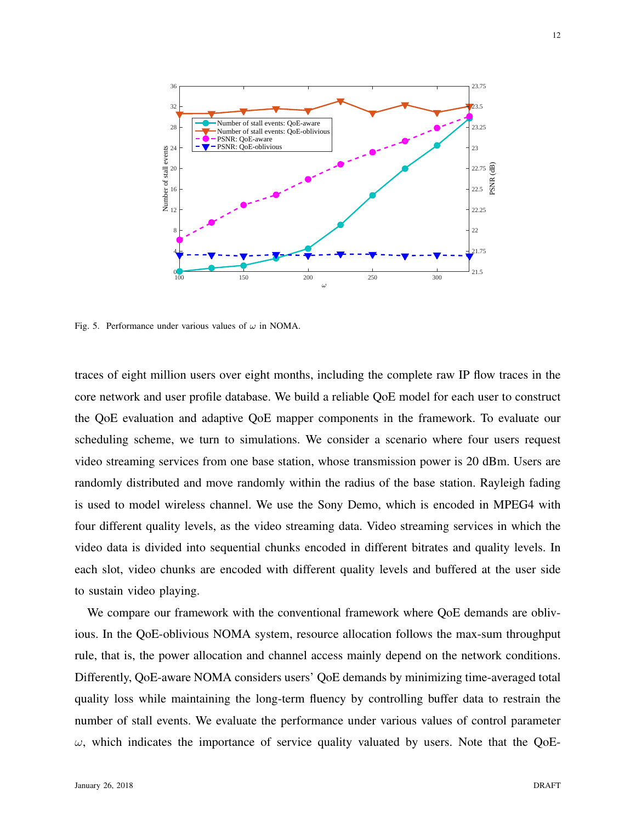

<span id="page-11-0"></span>Fig. 5. Performance under various values of  $\omega$  in NOMA.

traces of eight million users over eight months, including the complete raw IP flow traces in the core network and user profile database. We build a reliable QoE model for each user to construct the QoE evaluation and adaptive QoE mapper components in the framework. To evaluate our scheduling scheme, we turn to simulations. We consider a scenario where four users request video streaming services from one base station, whose transmission power is 20 dBm. Users are randomly distributed and move randomly within the radius of the base station. Rayleigh fading is used to model wireless channel. We use the Sony Demo, which is encoded in MPEG4 with four different quality levels, as the video streaming data. Video streaming services in which the video data is divided into sequential chunks encoded in different bitrates and quality levels. In each slot, video chunks are encoded with different quality levels and buffered at the user side to sustain video playing.

We compare our framework with the conventional framework where QoE demands are oblivious. In the QoE-oblivious NOMA system, resource allocation follows the max-sum throughput rule, that is, the power allocation and channel access mainly depend on the network conditions. Differently, QoE-aware NOMA considers users' QoE demands by minimizing time-averaged total quality loss while maintaining the long-term fluency by controlling buffer data to restrain the number of stall events. We evaluate the performance under various values of control parameter  $\omega$ , which indicates the importance of service quality valuated by users. Note that the QoE-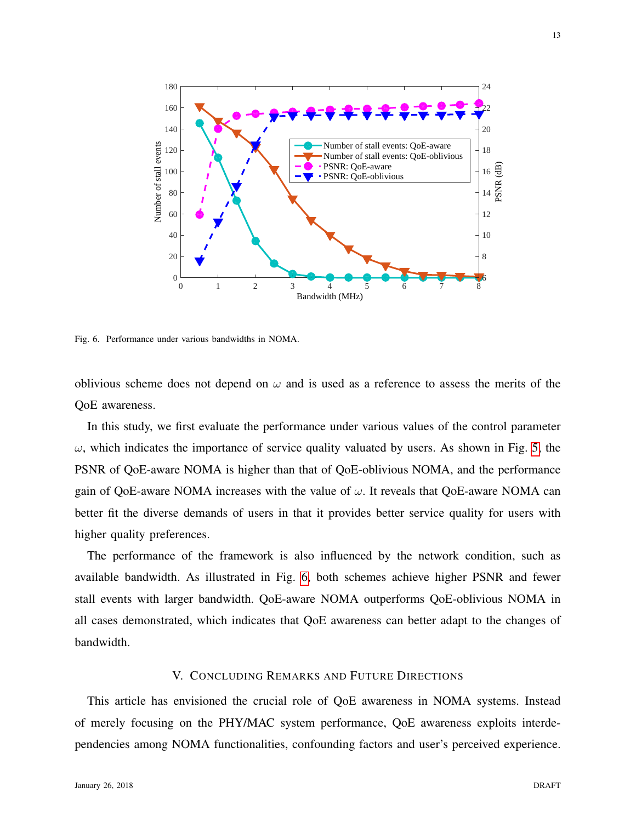

<span id="page-12-0"></span>Fig. 6. Performance under various bandwidths in NOMA.

oblivious scheme does not depend on  $\omega$  and is used as a reference to assess the merits of the QoE awareness.

In this study, we first evaluate the performance under various values of the control parameter  $\omega$ , which indicates the importance of service quality valuated by users. As shown in Fig. [5,](#page-11-0) the PSNR of QoE-aware NOMA is higher than that of QoE-oblivious NOMA, and the performance gain of QoE-aware NOMA increases with the value of  $\omega$ . It reveals that QoE-aware NOMA can better fit the diverse demands of users in that it provides better service quality for users with higher quality preferences.

The performance of the framework is also influenced by the network condition, such as available bandwidth. As illustrated in Fig. [6,](#page-12-0) both schemes achieve higher PSNR and fewer stall events with larger bandwidth. QoE-aware NOMA outperforms QoE-oblivious NOMA in all cases demonstrated, which indicates that QoE awareness can better adapt to the changes of bandwidth.

#### V. CONCLUDING REMARKS AND FUTURE DIRECTIONS

This article has envisioned the crucial role of QoE awareness in NOMA systems. Instead of merely focusing on the PHY/MAC system performance, QoE awareness exploits interdependencies among NOMA functionalities, confounding factors and user's perceived experience.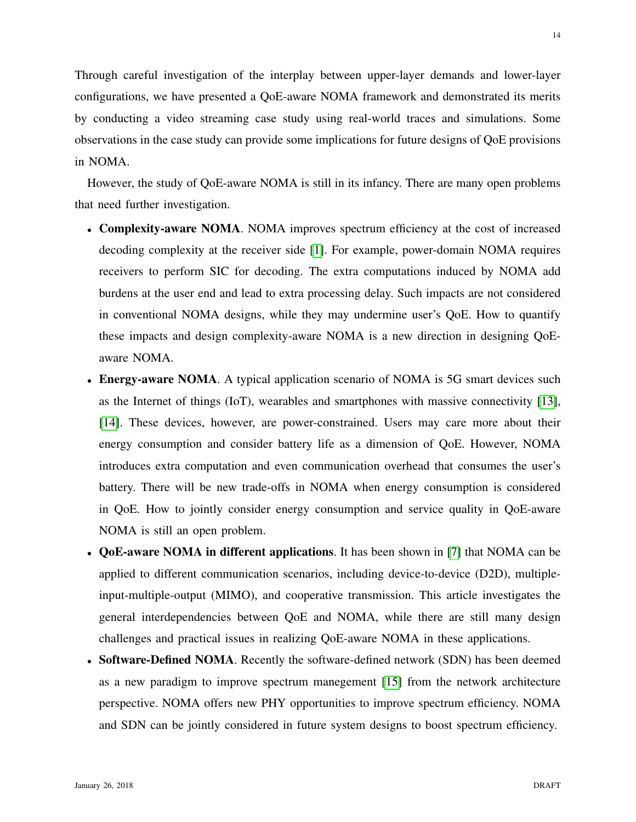Through careful investigation of the interplay between upper-layer demands and lower-layer configurations, we have presented a QoE-aware NOMA framework and demonstrated its merits by conducting a video streaming case study using real-world traces and simulations. Some observations in the case study can provide some implications for future designs of QoE provisions in NOMA.

However, the study of QoE-aware NOMA is still in its infancy. There are many open problems that need further investigation.

- Complexity-aware NOMA. NOMA improves spectrum efficiency at the cost of increased decoding complexity at the receiver side [\[1\]](#page-14-0). For example, power-domain NOMA requires receivers to perform SIC for decoding. The extra computations induced by NOMA add burdens at the user end and lead to extra processing delay. Such impacts are not considered in conventional NOMA designs, while they may undermine user's QoE. How to quantify these impacts and design complexity-aware NOMA is a new direction in designing QoEaware NOMA.
- Energy-aware NOMA. A typical application scenario of NOMA is 5G smart devices such as the Internet of things (IoT), wearables and smartphones with massive connectivity [\[13\]](#page-14-12), [\[14\]](#page-14-13). These devices, however, are power-constrained. Users may care more about their energy consumption and consider battery life as a dimension of QoE. However, NOMA introduces extra computation and even communication overhead that consumes the user's battery. There will be new trade-offs in NOMA when energy consumption is considered in QoE. How to jointly consider energy consumption and service quality in QoE-aware NOMA is still an open problem.
- QoE-aware NOMA in different applications. It has been shown in [\[7\]](#page-14-6) that NOMA can be applied to different communication scenarios, including device-to-device (D2D), multipleinput-multiple-output (MIMO), and cooperative transmission. This article investigates the general interdependencies between QoE and NOMA, while there are still many design challenges and practical issues in realizing QoE-aware NOMA in these applications.
- Software-Defined NOMA. Recently the software-defined network (SDN) has been deemed as a new paradigm to improve spectrum manegement [\[15\]](#page-14-14) from the network architecture perspective. NOMA offers new PHY opportunities to improve spectrum efficiency. NOMA and SDN can be jointly considered in future system designs to boost spectrum efficiency.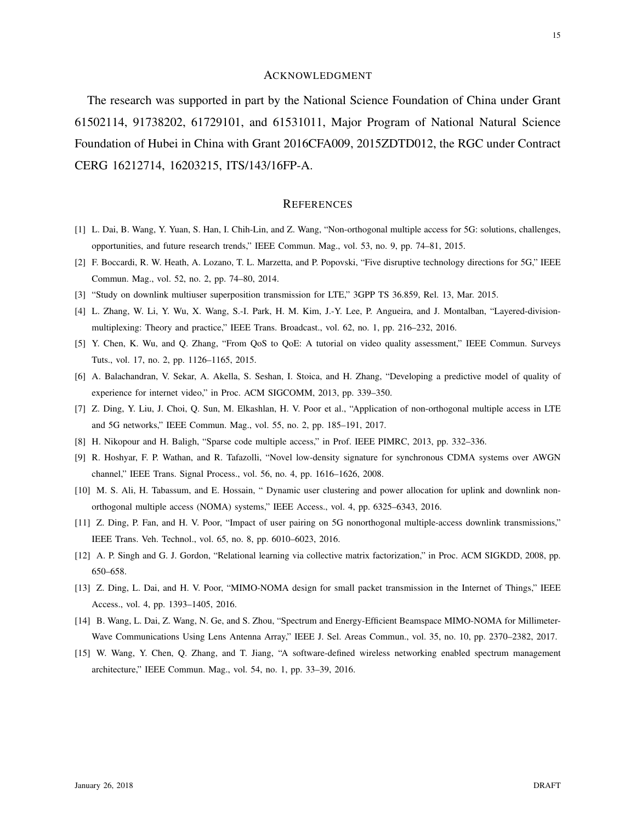#### ACKNOWLEDGMENT

The research was supported in part by the National Science Foundation of China under Grant 61502114, 91738202, 61729101, and 61531011, Major Program of National Natural Science Foundation of Hubei in China with Grant 2016CFA009, 2015ZDTD012, the RGC under Contract CERG 16212714, 16203215, ITS/143/16FP-A.

#### **REFERENCES**

- <span id="page-14-0"></span>[1] L. Dai, B. Wang, Y. Yuan, S. Han, I. Chih-Lin, and Z. Wang, "Non-orthogonal multiple access for 5G: solutions, challenges, opportunities, and future research trends," IEEE Commun. Mag., vol. 53, no. 9, pp. 74–81, 2015.
- <span id="page-14-1"></span>[2] F. Boccardi, R. W. Heath, A. Lozano, T. L. Marzetta, and P. Popovski, "Five disruptive technology directions for 5G," IEEE Commun. Mag., vol. 52, no. 2, pp. 74–80, 2014.
- <span id="page-14-2"></span>[3] "Study on downlink multiuser superposition transmission for LTE," 3GPP TS 36.859, Rel. 13, Mar. 2015.
- <span id="page-14-3"></span>[4] L. Zhang, W. Li, Y. Wu, X. Wang, S.-I. Park, H. M. Kim, J.-Y. Lee, P. Angueira, and J. Montalban, "Layered-divisionmultiplexing: Theory and practice," IEEE Trans. Broadcast., vol. 62, no. 1, pp. 216–232, 2016.
- <span id="page-14-4"></span>[5] Y. Chen, K. Wu, and Q. Zhang, "From QoS to QoE: A tutorial on video quality assessment," IEEE Commun. Surveys Tuts., vol. 17, no. 2, pp. 1126–1165, 2015.
- <span id="page-14-5"></span>[6] A. Balachandran, V. Sekar, A. Akella, S. Seshan, I. Stoica, and H. Zhang, "Developing a predictive model of quality of experience for internet video," in Proc. ACM SIGCOMM, 2013, pp. 339–350.
- <span id="page-14-6"></span>[7] Z. Ding, Y. Liu, J. Choi, Q. Sun, M. Elkashlan, H. V. Poor et al., "Application of non-orthogonal multiple access in LTE and 5G networks," IEEE Commun. Mag., vol. 55, no. 2, pp. 185–191, 2017.
- <span id="page-14-7"></span>[8] H. Nikopour and H. Baligh, "Sparse code multiple access," in Prof. IEEE PIMRC, 2013, pp. 332–336.
- <span id="page-14-8"></span>[9] R. Hoshyar, F. P. Wathan, and R. Tafazolli, "Novel low-density signature for synchronous CDMA systems over AWGN channel," IEEE Trans. Signal Process., vol. 56, no. 4, pp. 1616–1626, 2008.
- <span id="page-14-9"></span>[10] M. S. Ali, H. Tabassum, and E. Hossain, " Dynamic user clustering and power allocation for uplink and downlink nonorthogonal multiple access (NOMA) systems," IEEE Access., vol. 4, pp. 6325–6343, 2016.
- <span id="page-14-10"></span>[11] Z. Ding, P. Fan, and H. V. Poor, "Impact of user pairing on 5G nonorthogonal multiple-access downlink transmissions," IEEE Trans. Veh. Technol., vol. 65, no. 8, pp. 6010–6023, 2016.
- <span id="page-14-11"></span>[12] A. P. Singh and G. J. Gordon, "Relational learning via collective matrix factorization," in Proc. ACM SIGKDD, 2008, pp. 650–658.
- <span id="page-14-12"></span>[13] Z. Ding, L. Dai, and H. V. Poor, "MIMO-NOMA design for small packet transmission in the Internet of Things," IEEE Access., vol. 4, pp. 1393–1405, 2016.
- <span id="page-14-13"></span>[14] B. Wang, L. Dai, Z. Wang, N. Ge, and S. Zhou, "Spectrum and Energy-Efficient Beamspace MIMO-NOMA for Millimeter-Wave Communications Using Lens Antenna Array," IEEE J. Sel. Areas Commun., vol. 35, no. 10, pp. 2370–2382, 2017.
- <span id="page-14-14"></span>[15] W. Wang, Y. Chen, Q. Zhang, and T. Jiang, "A software-defined wireless networking enabled spectrum management architecture," IEEE Commun. Mag., vol. 54, no. 1, pp. 33–39, 2016.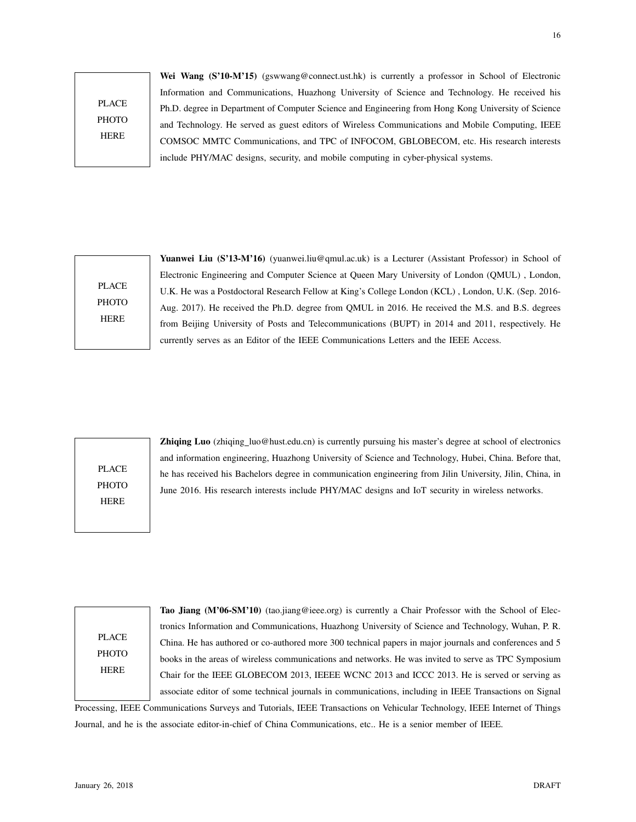### PLACE **PHOTO** HERE

Wei Wang (S'10-M'15) (gswwang@connect.ust.hk) is currently a professor in School of Electronic Information and Communications, Huazhong University of Science and Technology. He received his Ph.D. degree in Department of Computer Science and Engineering from Hong Kong University of Science and Technology. He served as guest editors of Wireless Communications and Mobile Computing, IEEE COMSOC MMTC Communications, and TPC of INFOCOM, GBLOBECOM, etc. His research interests include PHY/MAC designs, security, and mobile computing in cyber-physical systems.

PLACE **PHOTO HERE** 

Yuanwei Liu (S'13-M'16) (yuanwei.liu@qmul.ac.uk) is a Lecturer (Assistant Professor) in School of Electronic Engineering and Computer Science at Queen Mary University of London (QMUL) , London, U.K. He was a Postdoctoral Research Fellow at King's College London (KCL) , London, U.K. (Sep. 2016- Aug. 2017). He received the Ph.D. degree from QMUL in 2016. He received the M.S. and B.S. degrees from Beijing University of Posts and Telecommunications (BUPT) in 2014 and 2011, respectively. He currently serves as an Editor of the IEEE Communications Letters and the IEEE Access.

PLACE **PHOTO HERE** 

**Zhiging Luo** (zhiging luo@hust.edu.cn) is currently pursuing his master's degree at school of electronics and information engineering, Huazhong University of Science and Technology, Hubei, China. Before that, he has received his Bachelors degree in communication engineering from Jilin University, Jilin, China, in June 2016. His research interests include PHY/MAC designs and IoT security in wireless networks.

## PLACE **PHOTO HERE**

Tao Jiang (M'06-SM'10) (tao.jiang@ieee.org) is currently a Chair Professor with the School of Electronics Information and Communications, Huazhong University of Science and Technology, Wuhan, P. R. China. He has authored or co-authored more 300 technical papers in major journals and conferences and 5 books in the areas of wireless communications and networks. He was invited to serve as TPC Symposium Chair for the IEEE GLOBECOM 2013, IEEEE WCNC 2013 and ICCC 2013. He is served or serving as associate editor of some technical journals in communications, including in IEEE Transactions on Signal

Processing, IEEE Communications Surveys and Tutorials, IEEE Transactions on Vehicular Technology, IEEE Internet of Things Journal, and he is the associate editor-in-chief of China Communications, etc.. He is a senior member of IEEE.